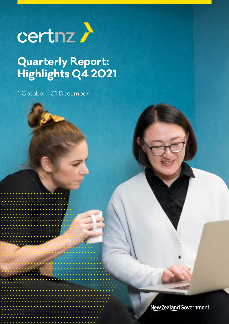

## **Quarterly Report: Highlights Q4 2021**

1 October - 31 December

New Zealand Government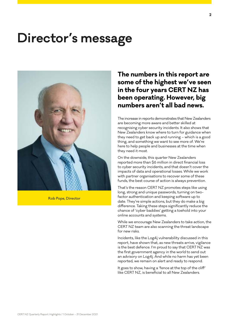## **Director's message**



**Rob Pope, Director**

## **The numbers in this report are some of the highest we've seen in the four years CERT NZ has been operating. However, big numbers aren't all bad news.**

The increase in reports demonstrates that New Zealanders are becoming more aware and better skilled at recognising cyber security incidents. It also shows that New Zealanders know where to turn for guidance when they need to get back up and running – which is a good thing, and something we want to see more of. We're here to help people and businesses at the time when they need it most.

On the downside, this quarter New Zealanders reported more than \$6 million in direct financial loss to cyber security incidents, and that doesn't cover the impacts of data and operational losses. While we work with partner organisations to recover some of these funds, the best course of action is always prevention.

That's the reason CERT NZ promotes steps like using long, strong and unique passwords, turning on twofactor authentication and keeping software up to date. They're simple actions, but they do make a big difference. Taking these steps significantly reduce the chance of 'cyber baddies' getting a toehold into your online accounts and systems.

While we encourage New Zealanders to take action, the CERT NZ team are also scanning the threat landscape for new risks.

Incidents, like the Log4j vulnerability discussed in this report, have shown that, as new threats arrive, vigilance is the best defence. I'm proud to say that CERT NZ was the first government agency in the world to send out an advisory on Log4j. And while no harm has yet been reported, we remain on alert and ready to respond.

It goes to show, having a 'fence at the top of the cliff' like CERT NZ, is beneficial to all New Zealanders.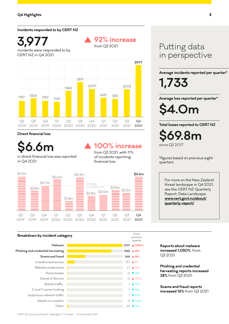#### **Incidents responded to by CERT NZ**

incidents were responded to by CERT NZ in Q4 2021. **3,977**



#### **Direct financial loss**

in direct financial loss was reported in Q4 2021. **\$6.6m**

## **100% increase**

**92% increase** 

from Q3 2021.

from Q3 2021, with 11% of incidents reporting financial loss

> From previous quarter

**28%**

1 ▼75%

1 ▼ 75% 1 90%

0 **▼** 100%

13 28% 12 **▲ 140%** 

27 ▲ 10%



#### **Breakdown by incident category**

**Scams and fraud Phishing and credential harvesting Malware** Unauthorised access Botnet traffic Ransomware Denial of Service Website compromise C and C server hosting Suspicious network traffic Attack on a system **1368 1707 1030% 568 16%** 237 5% Other  $\blacksquare$  42 36%

Putting data in perspective

**Average incidents reported per quarter\***

**1,733**

**Average loss reported per quarter\***

**\$4.0m**

**Total losses reported to CERT NZ \$69.8m** since Q2 2017

\*figures based on previous eight quarters

For more on the New Zealand threat landscape in Q4 2021, see the CERT NZ Quarterly Report: Data Landscape. **[www.cert.govt.nz/about/](https://www.cert.govt.nz/about/quarterly-report/) [quarterly-report/](https://www.cert.govt.nz/about/quarterly-report/)**

**Reports about malware increased 1,030%** from Q3 2021.

**Phishing and credential harvesting reports increased 28%** from Q3 2021.

**Scams and fraud reports increased 16%** from Q3 2021.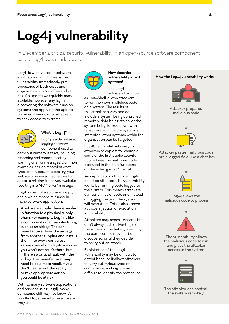# **Log4j vulnerability**

In December a critical security vulnerability in an open-source software component called Log4j was made public.

Log4j is widely used in software applications, which means the vulnerability immediately put thousands of businesses and organisations in New Zealand at risk. An update was quickly made available, however any lag in discovering the software's use on systems and applying the update provided a window for attackers to seek access to systems.



#### **What is Log4j?**

Log4j is a Java-based logging software component used to

carry out numerous tasks, including recording and communicating warning or error messages. Common examples include recording what types of devices are accessing your website or when someone tries to access a missing file on your website resulting in a "404 error" message.

Log4j is part of a software supply chain which means it is used in many software applications.

A software supply chain is similar in function to a physical supply chain. For example, Log4j is like a component in car manufacturing, such as an airbag. The car manufacturer buys the airbags from another supplier and installs them into every car across various models. In day-to-day use you won't notice it's there, but if there's a critical fault with the airbag, the manufacturer may need to do a mass recall. If you don't hear about the recall, or take appropriate action, you could be at risk.

With so many software applications and services using Log4j, many companies still may not know it's bundled together into the software they use.



#### **How does the vulnerability affect systems?**

The Log4j vulnerability, known

as Log4Shell, allows attackers to run their own malicious code on a system. The results of this attack can vary and could include a system being controlled remotely, data being stolen, or the system being locked down with ransomware. Once the system is infiltrated, other systems within the organisation can be targeted.

Log4Shell is relatively easy for attackers to exploit, for example some of the first public activity noticed was the malicious code executed in the chat functions of the video game Minecraft.

Any applications that use Log4j could be affected. The vulnerability works by running code logged to the system. This means attackers can send lines of code and instead of logging the text, the system will execute it. This is also known as code injection or execution vulnerability.

Attackers may access systems but don't always take advantage of the access immediately, meaning the compromise may not be discovered until they decide to carry out an attack.

Exploitation of the Log4j vulnerability may be difficult to detect because it allows attackers to carry out various types of compromise, making it more difficult to identify the root cause.

#### **How the Log4j vulnerability works**







#### Attacker pastes malicious code into a logged field, like a chat box



Log4j allows the malicious code to process



The vulnerability allows the malicious code to run and gives the attacker access to the system



The attacker can control the system remotely.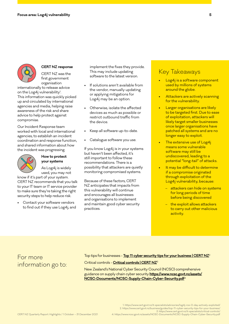

#### **CERT NZ response**

CERT NZ was the first government organisation

internationally to release advice on the Log4j vulnerability1 . This information was quickly picked up and circulated by international agencies and media, helping raise awareness of the risk and share advice to help protect against compromise.

Our Incident Response team worked with local and international agencies, to establish an incident coordination and response function, and shared information about how the incident was progressing.



#### **How to protect your systems**

As Log4j is widely used, you may not

know if it's part of your system. CERT NZ recommends that you talk to your IT team or IT service provider to make sure they're taking the right security steps to help reduce risk.

Contact your software vendors to find out if they use Log4j, and

implement the fixes they provide. This may include updating software to the latest version.

- If solutions aren't available from the vendor, manually updating or applying mitigations for Log4j may be an option.
- Otherwise, isolate the affected devices as much as possible or restrict outbound traffic from the device.
- Keep all software up-to-date.
- Catalogue software you use.

If you know Log4j is in your systems but haven't been affected, it's still important to follow these recommendations. There is a possibility that attackers are quietly monitoring compromised systems.

Because of these factors, CERT NZ anticipates that impacts from this vulnerability will continue and encourages all businesses and organisations to implement and maintain good cyber security practices.

### Key Takeaways

- Log4j is a software component used by millions of systems around the globe.
- Attackers are actively scanning for the vulnerability.
- Larger organisations are likely to be targeted first. Due to ease of exploitation, attackers will likely target smaller businesses once larger organisations have patched all systems and are no longer easy to exploit.
- The extensive use of Log4j means some vulnerable software may still be undiscovered, leading to a potential "long-tail" of attacks.
- It may be difficult to determine if a compromise originated through exploitation of the Log4j vulnerability, because:
	- attackers can hide on systems for long periods of time before being discovered
	- the exploit allows attackers to carry out other malicious activity.

### For more information go to:

Top tips for businesses - **[Top 11 cyber security tips for your business | CERT NZ](https://www.cert.govt.nz/business/guides/top-11-cyber-security-tips-for-your-business/)**<sup>2</sup> Critical controls - **[Critical controls | CERT NZ](https://www.cert.govt.nz/it-specialists/critical-controls/)**<sup>3</sup>

New Zealand's National Cyber Security Council (NCSC) comprehensive guidance on supply chain cyber security **[https://www.ncsc.govt.nz/assets/](https://www.ncsc.govt.nz/assets/NCSC-Documents/NCSC-Supply-Chain-Cyber-Security.pdf) [NCSC-Documents/NCSC-Supply-Chain-Cyber-Security.pdf](https://www.ncsc.govt.nz/assets/NCSC-Documents/NCSC-Supply-Chain-Cyber-Security.pdf)**<sup>4</sup>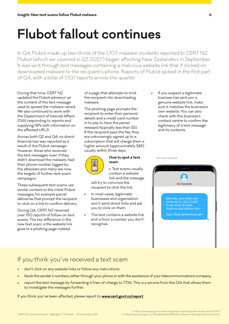## **Flubot fallout continues**

In Q4, Flubot made up two-thirds of the 1,707 malware incidents reported to CERT NZ. Flubot (which we covered in Q3 20215) began affecting New Zealanders in September. It was sent through text messages containing a malicious website link that if clicked on, downloaded malware to the recipient's phone. Reports of Flubot spiked in the first part of Q4, with a total of 1,107 reports across the quarter.

During that time, CERT NZ updated the Flubot advisory<sup>6</sup> as the content of the text message used to spread the malware varied. We also continued to work with the Department of Internal Affairs (DIA) responding to reports and supplying ISPs with information on the affected URLS.

Across both Q3 and Q4, no direct financial loss was reported as a result of the Flubot campaign. However, those who received the text messages, even if they didn't download the malware, had their phone number logged by the attackers and many are now the targets of further text-scam campaigns.

These subsequent text scams use similar content to the initial Flubot messages, for example parcel deliveries that prompt the recipient to click on a link to confirm delivery.

During Q4, CERT NZ received over 150 reports of follow-on text scams. The key difference in the new text scam is the website link goes to a phishing page instead

of a page that attempts to trick the recipient into downloading malware.

The phishing page prompts the recipient to enter their personal details and a credit card number in to pay to have the parcel released (typically less than \$5). If the recipient pays the fee, they are unknowingly signed up to a subscription that will charge them a higher amount (approximately \$85) usually within three days.



#### **How to spot a text scam**

• Text scams usually contain a website link and the message

will try to convince the recipient to click the link.

- In most cases, legitimate businesses and organisation won't send direct links and ask you to click on them.
- The text contains a website link and is from a number you don't recognise.

If you suspect a legitimate business has sent you a genuine website link, make sure it matches the business's own website. You can also check with the business's contact centre to confirm the legitimacy of a text message and its contents.

Text-scam example

Morning, your order was delivered on 2021/11/08 to our drop-off point. Approve your pickup here: https://bad.domain/example +64 21example

### If you think you've received a text scam

- don't click on any website links or follow any instructions
- block the sender's numbers, either through your phone or with the assistance of your telecommunications company,
- report the text message by forwarding it free-of-charge to 7726. This is a service from the DIA that allows them to investigate the messages further.

If you think you've been affected, please report to **[www.cert.govt.nz/report](http://www.cert.govt.nz/report)**